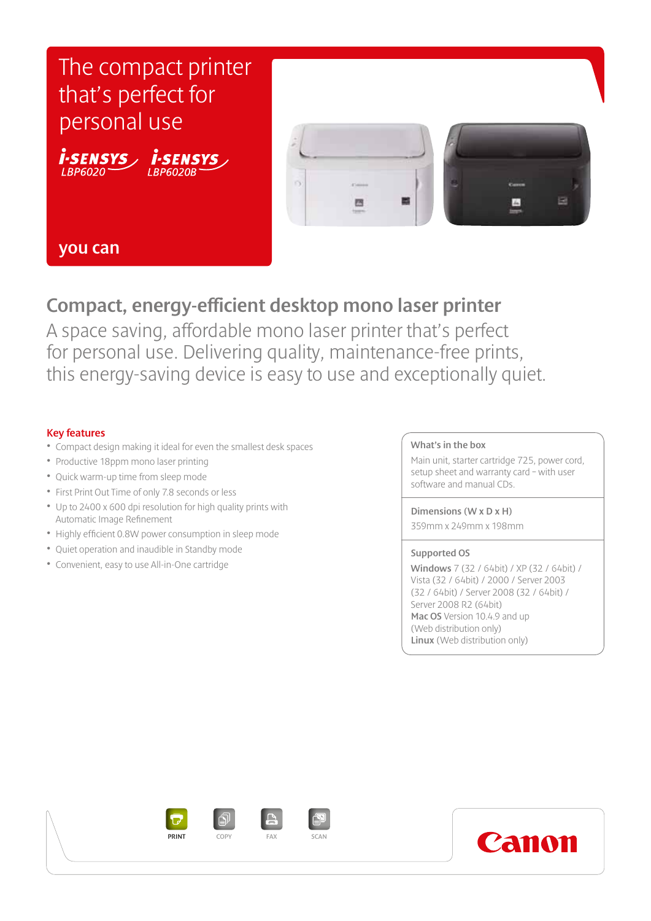

## **you can**

# **Compact, energy-efficient desktop mono laser printer**

A space saving, affordable mono laser printer that's perfect for personal use. Delivering quality, maintenance-free prints, this energy-saving device is easy to use and exceptionally quiet.

### **Key features**

- Compact design making it ideal for even the smallest desk spaces
- Productive 18ppm mono laser printing
- Quick warm-up time from sleep mode
- First Print Out Time of only 7.8 seconds or less
- Up to 2400 x 600 dpi resolution for high quality prints with Automatic Image Refinement
- Highly efficient 0.8W power consumption in sleep mode
- Quiet operation and inaudible in Standby mode
- Convenient, easy to use All-in-One cartridge

#### **What's in the box**

Main unit, starter cartridge 725, power cord, setup sheet and warranty card – with user software and manual CDs.

#### **Dimensions (W x D x H)**

359mm x 249mm x 198mm

#### **Supported OS**

**Windows** 7 (32 / 64bit) / XP (32 / 64bit) / Vista (32 / 64bit) / 2000 / Server 2003 (32 / 64bit) / Server 2008 (32 / 64bit) / Server 2008 R2 (64bit) **Mac OS** Version 10.4.9 and up (Web distribution only) **Linux** (Web distribution only)